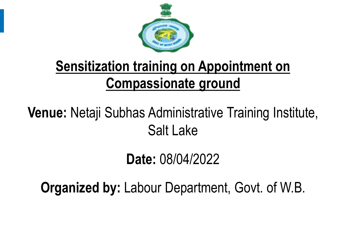

## **Sensitization training on Appointment on Compassionate ground**

### **Venue:** Netaji Subhas Administrative Training Institute, Salt Lake

### **Date:** 08/04/2022

**Organized by:** Labour Department, Govt. of W.B.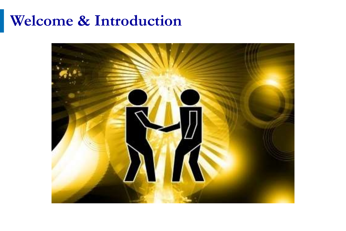#### **Welcome & Introduction**

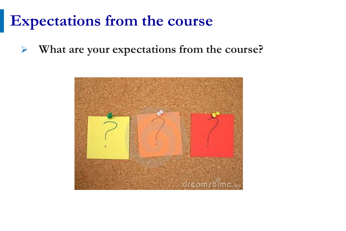### **Expectations from the course**

➢ **What are your expectations from the course?**

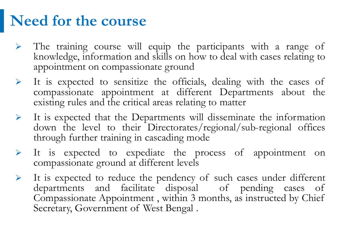### **Need for the course**

- ➢ The training course will equip the participants with a range of knowledge, information and skills on how to deal with cases relating to appointment on compassionate ground
- ➢ It is expected to sensitize the officials, dealing with the cases of compassionate appointment at different Departments about the existing rules and the critical areas relating to matter
- ➢ It is expected that the Departments will disseminate the information down the level to their Directorates/regional/sub-regional offices through further training in cascading mode
- ➢ It is expected to expediate the process of appointment on compassionate ground at different levels
- ➢ It is expected to reduce the pendency of such cases under different departments and facilitate disposal of pending cases of Compassionate Appointment , within 3 months, as instructed by Chief Secretary, Government of West Bengal .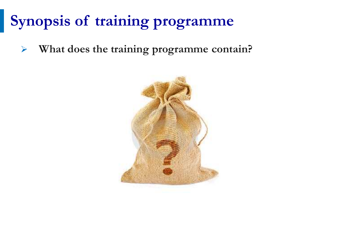# **Synopsis of training programme**

➢ **What does the training programme contain?**

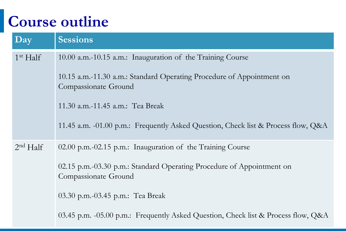# **Course outline**

| Day                  | <b>Sessions</b>                                                                                                                                                                                                                                                                      |
|----------------------|--------------------------------------------------------------------------------------------------------------------------------------------------------------------------------------------------------------------------------------------------------------------------------------|
| 1 <sup>st</sup> Half | 10.00 a.m.-10.15 a.m.: Inauguration of the Training Course<br>10.15 a.m.-11.30 a.m.: Standard Operating Procedure of Appointment on<br>Compassionate Ground<br>11.30 a.m.-11.45 a.m.: Tea Break<br>11.45 a.m. -01.00 p.m.: Frequently Asked Question, Check list & Process flow, Q&A |
| 2 <sup>nd</sup> Half | 02.00 p.m.-02.15 p.m.: Inauguration of the Training Course<br>02.15 p.m.-03.30 p.m.: Standard Operating Procedure of Appointment on<br>Compassionate Ground<br>03.30 p.m.-03.45 p.m.: Tea Break<br>03.45 p.m. -05.00 p.m.: Frequently Asked Question, Check list & Process flow, Q&A |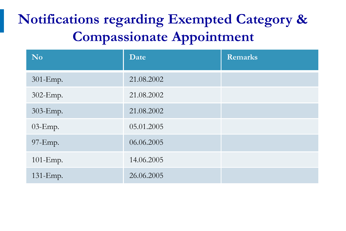### **Notifications regarding Exempted Category & Compassionate Appointment**

| <b>No</b>  | Date       | <b>Remarks</b> |
|------------|------------|----------------|
| 301-Emp.   | 21.08.2002 |                |
| 302-Emp.   | 21.08.2002 |                |
| 303-Emp.   | 21.08.2002 |                |
| $03$ -Emp. | 05.01.2005 |                |
| 97-Emp.    | 06.06.2005 |                |
| 101-Emp.   | 14.06.2005 |                |
| 131-Emp.   | 26.06.2005 |                |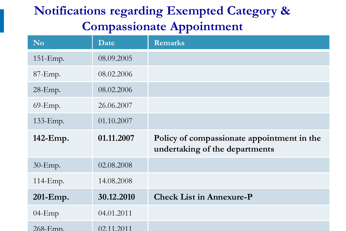#### **Notifications regarding Exempted Category & Compassionate Appointment**

| N <sub>0</sub> | Date       | <b>Remarks</b>                                                               |
|----------------|------------|------------------------------------------------------------------------------|
| $151$ -Emp.    | 08.09.2005 |                                                                              |
| $87$ -Emp.     | 08.02.2006 |                                                                              |
| $28$ -Emp.     | 08.02.2006 |                                                                              |
| 69-Emp.        | 26.06.2007 |                                                                              |
| 133-Emp.       | 01.10.2007 |                                                                              |
| 142-Emp.       | 01.11.2007 | Policy of compassionate appointment in the<br>undertaking of the departments |
| $30$ -Emp.     | 02.08.2008 |                                                                              |
| 114-Emp.       | 14.08.2008 |                                                                              |
| 201-Emp.       | 30.12.2010 | <b>Check List in Annexure-P</b>                                              |
| $04$ -Emp      | 04.01.2011 |                                                                              |
| 268-Emp.       | 02.11.2011 |                                                                              |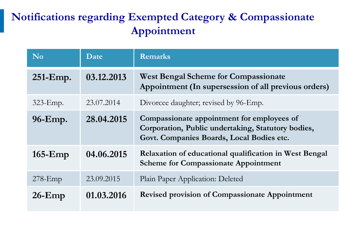#### **Notifications regarding Exempted Category & Compassionate Appointment**

| <b>No</b>   | Date       | <b>Remarks</b>                                                                                                                                |
|-------------|------------|-----------------------------------------------------------------------------------------------------------------------------------------------|
| $251$ -Emp. | 03.12.2013 | West Bengal Scheme for Compassionate<br>Appointment (In supersession of all previous orders)                                                  |
| $323$ -Emp. | 23.07.2014 | Divorcee daughter; revised by 96-Emp.                                                                                                         |
| 96-Emp.     | 28.04.2015 | Compassionate appointment for employees of<br>Corporation, Public undertaking, Statutory bodies,<br>Govt. Companies Boards, Local Bodies etc. |
| $165$ -Emp  | 04.06.2015 | Relaxation of educational qualification in West Bengal<br><b>Scheme for Compassionate Appointment</b>                                         |
| $278$ -Emp  | 23.09.2015 | Plain Paper Application: Deleted                                                                                                              |
| $26$ -Emp   | 01.03.2016 | Revised provision of Compassionate Appointment                                                                                                |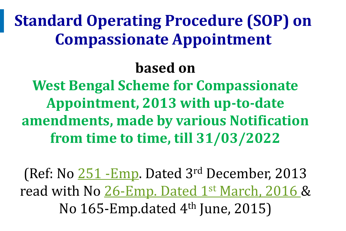**Standard Operating Procedure (SOP) on Compassionate Appointment**

### **based on**

**West Bengal Scheme for Compassionate Appointment, 2013 with up-to-date amendments, made by various Notification from time to time, till 31/03/2022**

(Ref: No  $251$  -Emp. Dated 3<sup>rd</sup> December, 2013 read with No  $26$ -Emp. Dated  $1<sup>st</sup> March, 2016$  & No 165-Emp.dated  $4<sup>th</sup>$  June, 2015)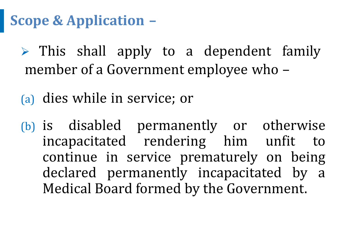**Scope & Application –**

 $\triangleright$  This shall apply to a dependent family member of a Government employee who –

(a) dies while in service; or

(b) is disabled permanently or otherwise incapacitated rendering him unfit to continue in service prematurely on being declared permanently incapacitated by a Medical Board formed by the Government.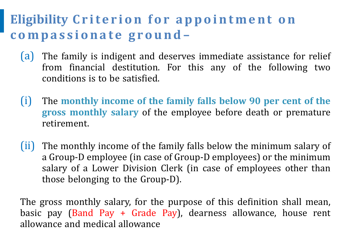#### **Eligibility Criterion for appointment on** compassionate ground-

- (a) The family is indigent and deserves immediate assistance for relief from financial destitution. For this any of the following two conditions is to be satisfied.
- (i) The **monthly income of the family falls below 90 per cent of the gross monthly salary** of the employee before death or premature retirement.
- (ii) The monthly income of the family falls below the minimum salary of a Group-D employee (in case of Group-D employees) or the minimum salary of a Lower Division Clerk (in case of employees other than those belonging to the Group-D).

allowance and medical allowance The gross monthly salary, for the purpose of this definition shall mean, basic pay (Band Pay + Grade Pay), dearness allowance, house rent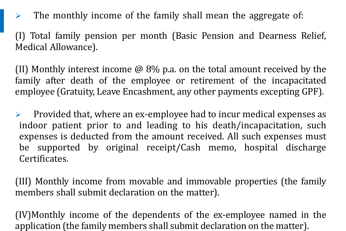$\triangleright$  The monthly income of the family shall mean the aggregate of:

(I) Total family pension per month (Basic Pension and Dearness Relief, Medical Allowance).

(II) Monthly interest income  $\omega$  8% p.a. on the total amount received by the family after death of the employee or retirement of the incapacitated employee (Gratuity, Leave Encashment, any other payments excepting GPF).

 $\triangleright$  Provided that, where an ex-employee had to incur medical expenses as indoor patient prior to and leading to his death/incapacitation, such expenses is deducted from the amount received. All such expenses must be supported by original receipt/Cash memo, hospital discharge Certificates.

(III) Monthly income from movable and immovable properties (the family members shall submit declaration on the matter).

application (the family members shall submit declaration on the matter). (IV)Monthly income of the dependents of the ex-employee named in the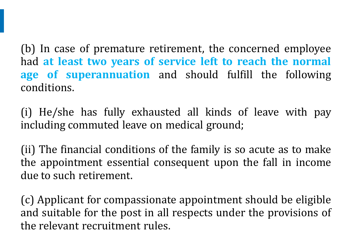(b) In case of premature retirement, the concerned employee had **at least two years of service left to reach the normal age of superannuation** and should fulfill the following conditions.

(i) He/she has fully exhausted all kinds of leave with pay including commuted leave on medical ground;

(ii) The financial conditions of the family is so acute as to make the appointment essential consequent upon the fall in income due to such retirement.

the relevant recruitment rules. (c) Applicant for compassionate appointment should be eligible and suitable for the post in all respects under the provisions of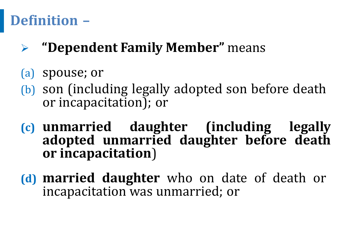### **Definition –**

- ➢ **"Dependent Family Member"** means
- (a) spouse; or
- (b) son (including legally adopted son before death or incapacitation); or
- **(c) unmarried daughter (including legally adopted unmarried daughter before death or incapacitation**)
- **(d) married daughter** who on date of death or incapacitation was unmarried; or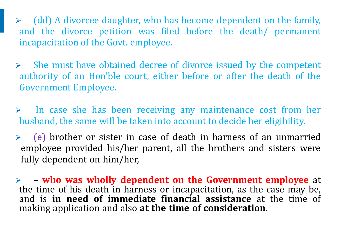$\triangleright$  (dd) A divorcee daughter, who has become dependent on the family, and the divorce petition was filed before the death/ permanent incapacitation of the Govt. employee.

 $\triangleright$  She must have obtained decree of divorce issued by the competent authority of an Hon'ble court, either before or after the death of the Government Employee.

 $\triangleright$  In case she has been receiving any maintenance cost from her husband, the same will be taken into account to decide her eligibility.

 $\geq$  (e) brother or sister in case of death in harness of an unmarried employee provided his/her parent, all the brothers and sisters were fully dependent on him/her,

➢ – **who was wholly dependent on the Government employee** at the time of his death in harness or incapacitation, as the case may be, and is **in need of immediate financial assistance** at the time of making application and also **at the time of consideration**.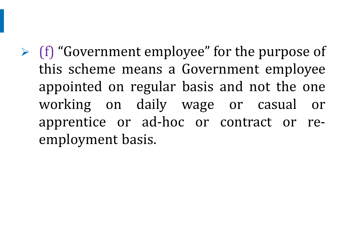$\triangleright$  (f) "Government employee" for the purpose of this scheme means a Government employee appointed on regular basis and not the one working on daily wage or casual or apprentice or ad-hoc or contract or reemployment basis.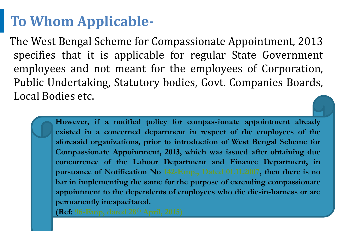### **To Whom Applicable-**

The West Bengal Scheme for Compassionate Appointment, 2013 specifies that it is applicable for regular State Government employees and not meant for the employees of Corporation, Public Undertaking, Statutory bodies, Govt. Companies Boards, Local Bodies etc.

> **However, if a notified policy for compassionate appointment already existed in a concerned department in respect of the employees of the aforesaid organizations, prior to introduction of West Bengal Scheme for Compassionate Appointment, 2013, which was issued after obtaining due concurrence of the Labour Department and Finance Department, in pursuance of Notification No [142-Emp.,](142-Emp dt.01.11.07.pdf) Dated 01.11.2007, then there is no bar in implementing the same for the purpose of extending compassionate appointment to the dependents of employees who die die-in-harness or are permanently incapacitated.**

**(Ref: [96-Emp,](96-Emp dt.28.04.15.pdf) dated 28th April, 2015)**

© 2015-2016, (MeitY), Government of India. All rights reserved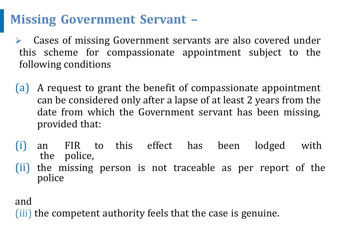#### **Missing Government Servant –**

➢ Cases of missing Government servants are also covered under this scheme for compassionate appointment subject to the following conditions

- (a) A request to grant the benefit of compassionate appointment can be considered only after a lapse of at least 2 years from the date from which the Government servant has been missing, provided that:
- (i) an FIR to this effect has been lodged with the police,
- (ii) the missing person is not traceable as per report of the police

and

(iii) the competent authority feels that the case is genuine.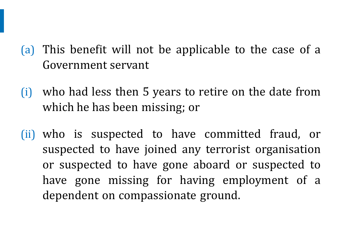- (a) This benefit will not be applicable to the case of a Government servant
	- (i) who had less then 5 years to retire on the date from which he has been missing; or
	- (ii) who is suspected to have committed fraud, or suspected to have joined any terrorist organisation or suspected to have gone aboard or suspected to have gone missing for having employment of a dependent on compassionate ground.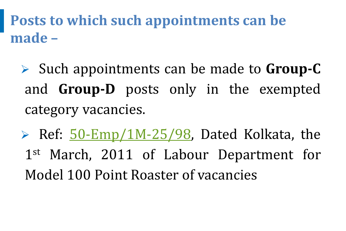**Posts to which such appointments can be made –**

- ➢ Such appointments can be made to **Group-C** and **Group-D** posts only in the exempted category vacancies.
- $\triangleright$  Ref:  $50$ -Emp/1M-25/98, Dated Kolkata, the 1<sup>st</sup> March, 2011 of Labour Department for Model 100 Point Roaster of vacancies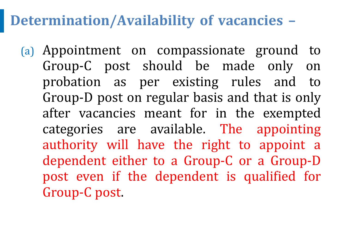#### **Determination/Availability of vacancies –**

(a) Appointment on compassionate ground to Group-C post should be made only on probation as per existing rules and to Group-D post on regular basis and that is only after vacancies meant for in the exempted categories are available. The appointing authority will have the right to appoint a dependent either to a Group-C or a Group-D post even if the dependent is qualified for Group-C post.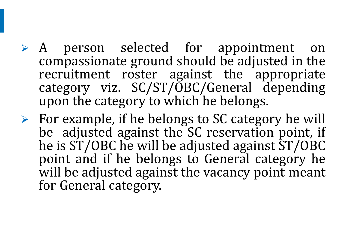- ➢ A person selected for appointment on compassionate ground should be adjusted in the recruitment roster against the appropriate category viz. SC/ST/OBC/General depending upon the category to which he belongs.
- $\triangleright$  For example, if he belongs to SC category he will be adjusted against the SC reservation point, if he is ST/OBC he will be adjusted against ST/OBC point and if he belongs to General category he will be adjusted against the vacancy point meant for General category.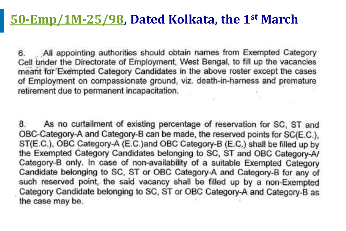#### **[50-Emp/1M-25/98](50-EMP.pdf), Dated Kolkata, the 1st March**

All appointing authorities should obtain names from Exempted Category 6. Cell under the Directorate of Employment, West Bengal, to fill up the vacancies meant for Exempted Category Candidates in the above roster except the cases of Employment on compassionate ground, viz. death-in-harness and premature retirement due to permanent incapacitation.

8. As no curtailment of existing percentage of reservation for SC. ST and OBC-Category-A and Category-B can be made, the reserved points for SC(E.C.). ST(E.C.), OBC Category-A (E.C.)and OBC Category-B (E.C.) shall be filled up by the Exempted Category Candidates belonging to SC, ST and OBC Category-A/ Category-B only. In case of non-availability of a suitable Exempted Category Candidate belonging to SC, ST or OBC Category-A and Category-B for any of such reserved point, the said vacancy shall be filled up by a non-Exempted Category Candidate belonging to SC, ST or OBC Category-A and Category-B as the case may be.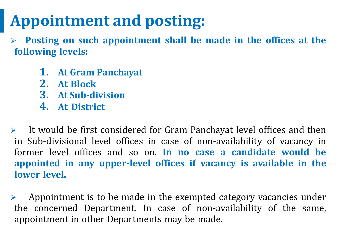# **Appointment and posting:**

➢ **Posting on such appointment shall be made in the offices at the following levels:**

- **1. At Gram Panchayat**
- **2. At Block**
- **3. At Sub-division**
- **4. At District**

➢ It would be first considered for Gram Panchayat level offices and then in Sub-divisional level offices in case of non-availability of vacancy in former level offices and so on. **In no case a candidate would be appointed in any upper-level offices if vacancy is available in the lower level.**

© 2015-2016, (MeitY), Government of India. All rights reserved appointment in other Departments may be made.  $\triangleright$  Appointment is to be made in the exempted category vacancies under the concerned Department. In case of non-availability of the same,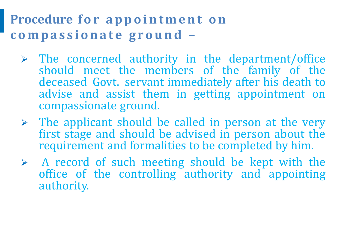#### **Procedure for appointment on c o m p a s s i o n a t e g r o u n d –**

- $\triangleright$  The concerned authority in the department/office should meet the members of the family of the deceased Govt. servant immediately after his death to advise and assist them in getting appointment on compassionate ground.
- $\triangleright$  The applicant should be called in person at the very first stage and should be advised in person about the requirement and formalities to be completed by him.
- $\triangleright$  A record of such meeting should be kept with the office of the controlling authority and appointing authority.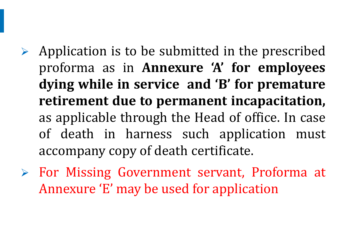- $\triangleright$  Application is to be submitted in the prescribed proforma as in **Annexure 'A' for employees dying while in service and 'B' for premature retirement due to permanent incapacitation,** as applicable through the Head of office. In case of death in harness such application must accompany copy of death certificate.
- ➢ For Missing Government servant, Proforma at Annexure 'E' may be used for application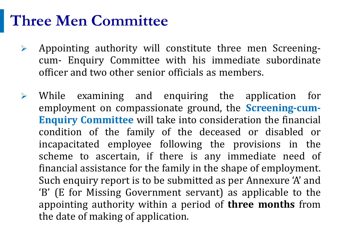# **Three Men Committee**

- ➢ Appointing authority will constitute three men Screeningcum- Enquiry Committee with his immediate subordinate officer and two other senior officials as members.
- the date of making of application. ➢ While examining and enquiring the application for employment on compassionate ground, the **Screening-cum-Enquiry Committee** will take into consideration the financial condition of the family of the deceased or disabled or incapacitated employee following the provisions in the scheme to ascertain, if there is any immediate need of financial assistance for the family in the shape of employment. Such enquiry report is to be submitted as per Annexure 'A' and 'B' (E for Missing Government servant) as applicable to the appointing authority within a period of **three months** from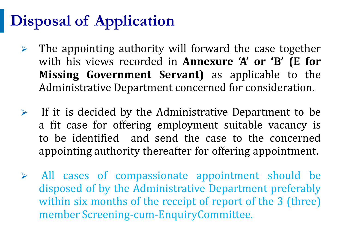# **Disposal of Application**

- $\triangleright$  The appointing authority will forward the case together with his views recorded in **Annexure 'A' or 'B' (E for Missing Government Servant)** as applicable to the Administrative Department concerned for consideration.
- $\triangleright$  If it is decided by the Administrative Department to be a fit case for offering employment suitable vacancy is to be identified and send the case to the concerned appointing authority thereafter for offering appointment.
- member Screening-cum-EnquiryCommittee. ➢ All cases of compassionate appointment should be disposed of by the Administrative Department preferably within six months of the receipt of report of the 3 (three)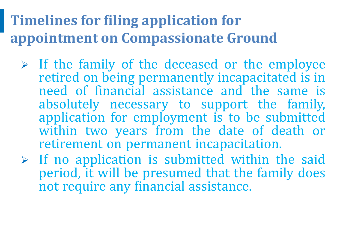## **Timelines for filing application for appointment on Compassionate Ground**

- $\triangleright$  If the family of the deceased or the employee retired on being permanently incapacitated is in need of financial assistance and the same is absolutely necessary to support the family, application for employment is to be submitted within two years from the date of death or retirement on permanent incapacitation.
- $\triangleright$  If no application is submitted within the said period, it will be presumed that the family does not require any financial assistance.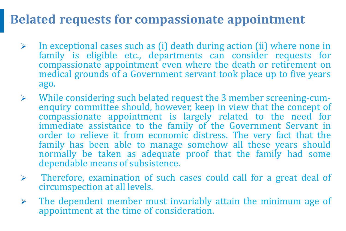#### **Belated requests for compassionate appointment**

- ➢ In exceptional cases such as (i) death during action (ii) where none in family is eligible etc., departments can consider requests for compassionate appointment even where the death or retirement on medical grounds of a Government servant took place up to five years ago.
- ➢ While considering such belated request the 3 member screening-cumenquiry committee should, however, keep in view that the concept of compassionate appointment is largely related to the need for immediate assistance to the family of the Government Servant in order to relieve it from economic distress. The very fact that the family has been able to manage somehow all these years should normally be taken as adequate proof that the family had some dependable means of subsistence.
- $\triangleright$  Therefore, examination of such cases could call for a great deal of circumspection at all levels.
- $\triangleright$  The dependent member must invariably attain the minimum age of appointment at the time of consideration.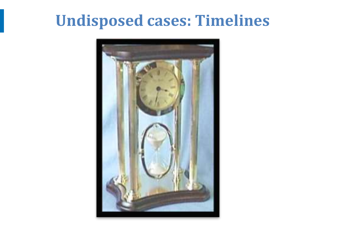## **Undisposed cases: Timelines**

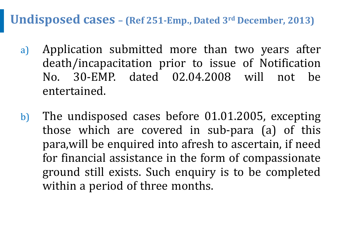**Undisposed cases – (Ref 251-Emp., Dated 3rd December, 2013)**

- a) Application submitted more than two years after death/incapacitation prior to issue of Notification No. 30-EMP. dated 02.04.2008 will not be entertained.
- b) The undisposed cases before 01.01.2005, excepting those which are covered in sub-para (a) of this para,will be enquired into afresh to ascertain, if need for financial assistance in the form of compassionate ground still exists. Such enquiry is to be completed within a period of three months.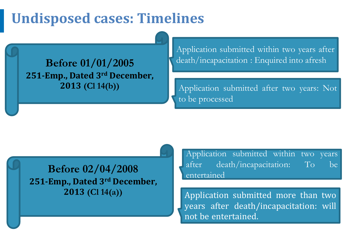#### **Undisposed cases: Timelines**

**251-Emp., Dated 3rd December, 2013 (Cl 14(b))**

Application submitted within two years after **Before 01/01/2005** death/incapacitation : Enquired into afresh

> Application submitted after two years: Not to be processed

**Before 02/04/2008 251-Emp., Dated 3rd December, 2013 (Cl 14(a))**

Application submitted within two years after death/incapacitation: To be entertained

Application submitted more than two years after death/incapacitation: will not be entertained.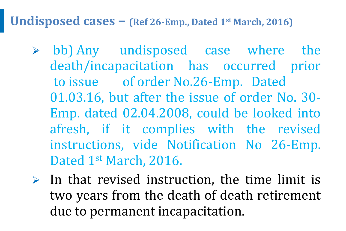**Undisposed cases – (Ref 26-Emp., Dated 1st March, 2016)**

- $\geq$  bb) Any undisposed case where the death/incapacitation has occurred prior to issue of order No.26-Emp. Dated 01.03.16, but after the issue of order No. 30- Emp. dated 02.04.2008, could be looked into afresh, if it complies with the revised instructions, vide Notification No 26-Emp. Dated 1st March, 2016.
- $\triangleright$  In that revised instruction, the time limit is two years from the death of death retirement due to permanent incapacitation.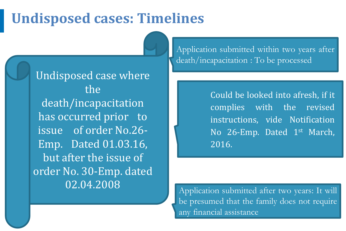#### **Undisposed cases: Timelines**

Undisposed case where the death/incapacitation has occurred prior to issue of order No.26- Emp. Dated 01.03.16, but after the issue of order No. 30-Emp. dated 02.04.2008 Application submitted after two years: It will

Slide 36

 $\mathcal{L}$  2015-2015-2015, (MeitY), Government of India. All rights reserved of India. All rights reserved of India. All rights reserved of India. All rights reserved of India. All rights reserved of India. All rights reser

Application submitted within two years after death/incapacitation : To be processed

> Could be looked into afresh, if it complies with the revised instructions, vide Notification No 26-Emp. Dated 1<sup>st</sup> March, 2016.

be presumed that the family does not require any financial assistance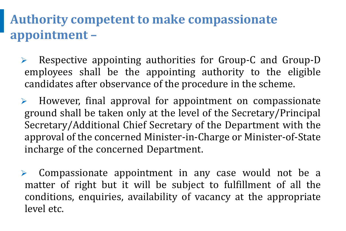#### **Authority competent to make compassionate appointment –**

- ➢ Respective appointing authorities for Group-C and Group-D employees shall be the appointing authority to the eligible candidates after observance of the procedure in the scheme.
- However, final approval for appointment on compassionate ground shall be taken only at the level of the Secretary/Principal Secretary/Additional Chief Secretary of the Department with the approval of the concerned Minister-in-Charge or Minister-of-State incharge of the concerned Department.

➢ Compassionate appointment in any case would not be a matter of right but it will be subject to fulfillment of all the conditions, enquiries, availability of vacancy at the appropriate level etc.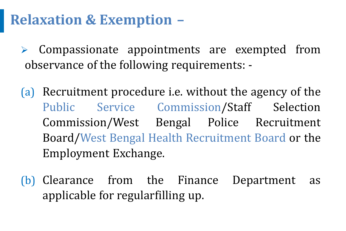## **Relaxation & Exemption –**

➢ Compassionate appointments are exempted from observance of the following requirements: -

- (a) Recruitment procedure i.e. without the agency of the Public Service Commission/Staff Selection Commission/West Bengal Police Recruitment Board/West Bengal Health Recruitment Board or the Employment Exchange.
- (b) Clearance from the Finance Department as applicable for regularfilling up.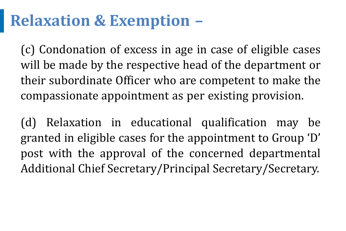# **Relaxation & Exemption –**

(c) Condonation of excess in age in case of eligible cases will be made by the respective head of the department or their subordinate Officer who are competent to make the compassionate appointment as per existing provision.

(d) Relaxation in educational qualification may be granted in eligible cases for the appointment to Group 'D' post with the approval of the concerned departmental Additional Chief Secretary/Principal Secretary/Secretary.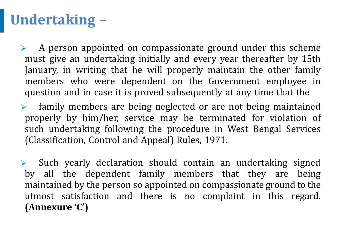## **Undertaking –**

 $\triangleright$  A person appointed on compassionate ground under this scheme must give an undertaking initially and every year thereafter by 15th January, in writing that he will properly maintain the other family members who were dependent on the Government employee in question and in case it is proved subsequently at any time that the

➢ family members are being neglected or are not being maintained properly by him/her, service may be terminated for violation of such undertaking following the procedure in West Bengal Services (Classification, Control and Appeal) Rules, 1971.

➢ Such yearly declaration should contain an undertaking signed by all the dependent family members that they are being maintained by the person so appointed on compassionate ground to the utmost satisfaction and there is no complaint in this regard. **(Annexure 'C')**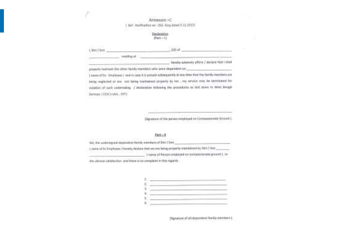Annexum -C 1 Act: Holtflocker no 1253- Emp dated 5.11.2023) and the contract of the contract of the contract of the con-

| E. Shell Z Smith           | $-100$ at                                                                                                  |
|----------------------------|------------------------------------------------------------------------------------------------------------|
| renting at                 |                                                                                                            |
|                            | function charactery afform / declare that install                                                          |
|                            | presents makeum the other family members who were dependent on                                             |
|                            | ( narry of the - frepleyee ) and include it is proyed subsequently at any time that the hereby members are |
|                            | being reglected or any rest being maintained properly by ree , my service stay be terminated for           |
|                            | ealation of sack undertaking / declaration following the procedures as last down in terms hanged           |
| Services (CCATrules, 1971) |                                                                                                            |
|                            |                                                                                                            |

(Sprature of the person employed on Organizante Ship nd). 

| We, the understored dependent family members of Shri / Serk                                       |  |
|---------------------------------------------------------------------------------------------------|--|
| creative of En Employage's hereiny dictions that we are liable properly maintained by Shitz-Stat. |  |
| I having of Piecech onlightyed are contiguisable stream 1.16                                      |  |

the altmost autofaction and there is no complaint in this regards.

(Sigmations of all obspectives family rewriters ).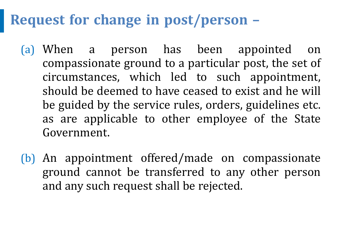## **Request for change in post/person –**

- (a) When a person has been appointed on compassionate ground to a particular post, the set of circumstances, which led to such appointment, should be deemed to have ceased to exist and he will be guided by the service rules, orders, guidelines etc. as are applicable to other employee of the State Government.
- (b) An appointment offered/made on compassionate ground cannot be transferred to any other person and any such request shall be rejected.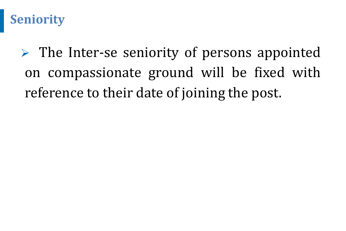#### **Seniority**

 $\triangleright$  The Inter-se seniority of persons appointed on compassionate ground will be fixed with reference to their date of joining the post.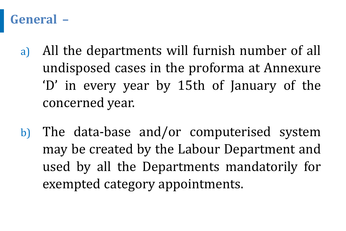#### **General –**

- a) All the departments will furnish number of all undisposed cases in the proforma at Annexure 'D' in every year by 15th of January of the concerned year.
- b) The data-base and/or computerised system may be created by the Labour Department and used by all the Departments mandatorily for exempted category appointments.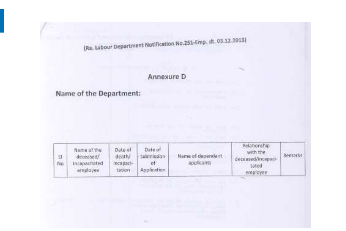(Re. Labour Department Notification No.251-Emp. dt. 03.12.2013)

#### Annexure D

#### Name of the Department:

| \$l<br>No<br>n m | Name of the<br>deceased/<br>Incapacitated<br>employee | Date of<br>death/<br>Incapaci-<br>tation | Date of<br>submission<br><b>bt</b><br>Application | Name of dependant<br>applicants | Relationship<br>with the<br>deceased/incapaci-<br>tated<br>employee | Remarks |
|------------------|-------------------------------------------------------|------------------------------------------|---------------------------------------------------|---------------------------------|---------------------------------------------------------------------|---------|
|------------------|-------------------------------------------------------|------------------------------------------|---------------------------------------------------|---------------------------------|---------------------------------------------------------------------|---------|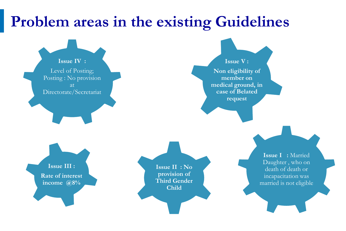# **Problem areas in the existing Guidelines**

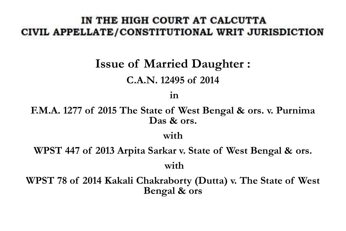#### IN THE HIGH COURT AT CALCUTTA CIVIL APPELLATE/CONSTITUTIONAL WRIT JURISDICTION

# **Issue of Married Daughter :**

#### **C.A.N. 12495 of 2014**

**in** 

**F.M.A. 1277 of 2015 The State of West Bengal & ors. v. Purnima Das & ors.** 

**with** 

**WPST 447 of 2013 Arpita Sarkar v. State of West Bengal & ors. with** 

**WPST 78 of 2014 Kakali Chakraborty (Dutta) v. The State of West Bengal & ors**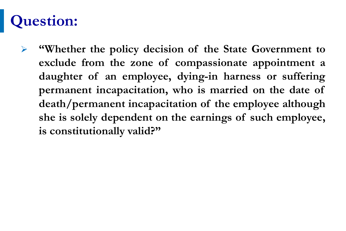# **Question:**

➢ **"Whether the policy decision of the State Government to exclude from the zone of compassionate appointment a daughter of an employee, dying-in harness or suffering permanent incapacitation, who is married on the date of death/permanent incapacitation of the employee although she is solely dependent on the earnings of such employee, is constitutionally valid?"**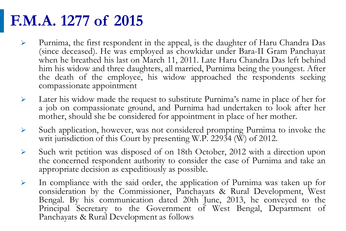# **F.M.A. 1277 of 2015**

- ➢ Purnima, the first respondent in the appeal, is the daughter of Haru Chandra Das (since deceased). He was employed as chowkidar under Bara-II Gram Panchayat when he breathed his last on March 11, 2011. Late Haru Chandra Das left behind him his widow and three daughters, all married, Purnima being the youngest. After the death of the employee, his widow approached the respondents seeking compassionate appointment
- $\triangleright$  Later his widow made the request to substitute Purnima's name in place of her for a job on compassionate ground, and Purnima had undertaken to look after her mother, should she be considered for appointment in place of her mother.
- ➢ Such application, however, was not considered prompting Purnima to invoke the writ jurisdiction of this Court by presenting W.P. 22934 (W) of 2012.
- ➢ Such writ petition was disposed of on 18th October, 2012 with a direction upon the concerned respondent authority to consider the case of Purnima and take an appropriate decision as expeditiously as possible.
- Panchayats & Rural Development as follows  $\triangleright$  In compliance with the said order, the application of Purnima was taken up for consideration by the Commissioner, Panchayats & Rural Development, West Bengal. By his communication dated 20th June, 2013, he conveyed to the Principal Secretary to the Government of West Bengal, Department of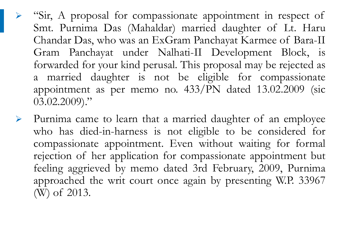- ➢ "Sir, A proposal for compassionate appointment in respect of Smt. Purnima Das (Mahaldar) married daughter of Lt. Haru Chandar Das, who was an ExGram Panchayat Karmee of Bara-II Gram Panchayat under Nalhati-II Development Block, is forwarded for your kind perusal. This proposal may be rejected as a married daughter is not be eligible for compassionate appointment as per memo no. 433/PN dated 13.02.2009 (sic 03.02.2009)."
- ➢ Purnima came to learn that a married daughter of an employee who has died-in-harness is not eligible to be considered for compassionate appointment. Even without waiting for formal rejection of her application for compassionate appointment but feeling aggrieved by memo dated 3rd February, 2009, Purnima approached the writ court once again by presenting W.P. 33967 (W) of 2013.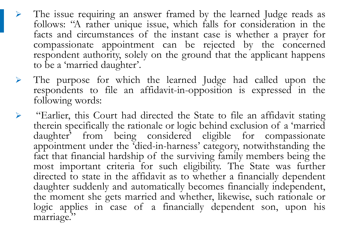- ➢ The issue requiring an answer framed by the learned Judge reads as follows: "A rather unique issue, which falls for consideration in the facts and circumstances of the instant case is whether a prayer for compassionate appointment can be rejected by the concerned respondent authority, solely on the ground that the applicant happens to be a 'married daughter'.
- ➢ The purpose for which the learned Judge had called upon the respondents to file an affidavit-in-opposition is expressed in the following words:
- ➢ "Earlier, this Court had directed the State to file an affidavit stating therein specifically the rationale or logic behind exclusion of a 'married daughter' from being considered eligible for compassionate appointment under the 'died-in-harness' category, notwithstanding the fact that financial hardship of the surviving family members being the most important criteria for such eligibility. The State was further directed to state in the affidavit as to whether a financially dependent daughter suddenly and automatically becomes financially independent, the moment she gets married and whether, likewise, such rationale or logic applies in case of a financially dependent son, upon his marriage."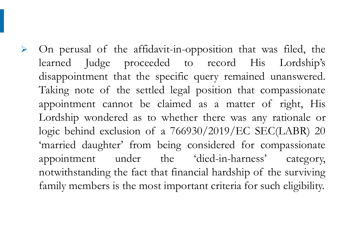➢ On perusal of the affidavit-in-opposition that was filed, the learned Judge proceeded to record His Lordship's disappointment that the specific query remained unanswered. Taking note of the settled legal position that compassionate appointment cannot be claimed as a matter of right, His Lordship wondered as to whether there was any rationale or logic behind exclusion of a 766930/2019/EC SEC(LABR) 20 'married daughter' from being considered for compassionate appointment under the 'died-in-harness' category, notwithstanding the fact that financial hardship of the surviving family members is the most important criteria for such eligibility.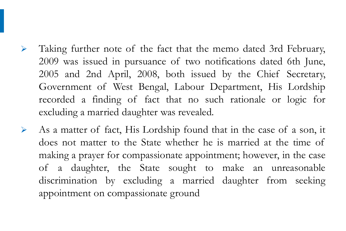- ➢ Taking further note of the fact that the memo dated 3rd February, 2009 was issued in pursuance of two notifications dated 6th June, 2005 and 2nd April, 2008, both issued by the Chief Secretary, Government of West Bengal, Labour Department, His Lordship recorded a finding of fact that no such rationale or logic for excluding a married daughter was revealed.
- ➢ As a matter of fact, His Lordship found that in the case of a son, it does not matter to the State whether he is married at the time of making a prayer for compassionate appointment; however, in the case of a daughter, the State sought to make an unreasonable discrimination by excluding a married daughter from seeking appointment on compassionate ground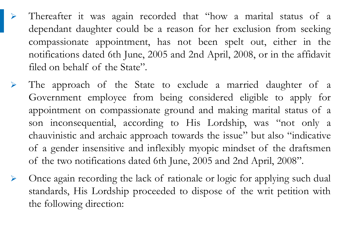- Thereafter it was again recorded that "how a marital status of a dependant daughter could be a reason for her exclusion from seeking compassionate appointment, has not been spelt out, either in the notifications dated 6th June, 2005 and 2nd April, 2008, or in the affidavit filed on behalf of the State".
- The approach of the State to exclude a married daughter of a Government employee from being considered eligible to apply for appointment on compassionate ground and making marital status of a son inconsequential, according to His Lordship, was "not only a chauvinistic and archaic approach towards the issue" but also "indicative of a gender insensitive and inflexibly myopic mindset of the draftsmen of the two notifications dated 6th June, 2005 and 2nd April, 2008".
- ➢ Once again recording the lack of rationale or logic for applying such dual standards, His Lordship proceeded to dispose of the writ petition with the following direction: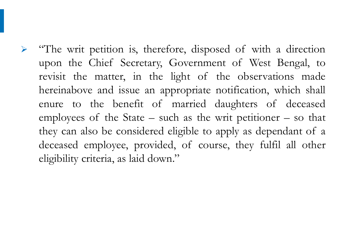➢ "The writ petition is, therefore, disposed of with a direction upon the Chief Secretary, Government of West Bengal, to revisit the matter, in the light of the observations made hereinabove and issue an appropriate notification, which shall enure to the benefit of married daughters of deceased employees of the State – such as the writ petitioner – so that they can also be considered eligible to apply as dependant of a deceased employee, provided, of course, they fulfil all other eligibility criteria, as laid down."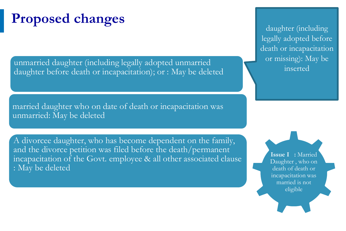## **Proposed changes**

unmarried daughter (including legally adopted unmarried daughter before death or incapacitation); or : May be deleted

married daughter who on date of death or incapacitation was unmarried: May be deleted

A divorcee daughter, who has become dependent on the family, and the divorce petition was filed before the death/permanent incapacitation of the Govt. employee & all other associated clause : May be deleted

daughter (including legally adopted before death or incapacitation or missing): May be inserted

> **Issue I :** Married Daughter , who on death of death or incapacitation was married is not eligible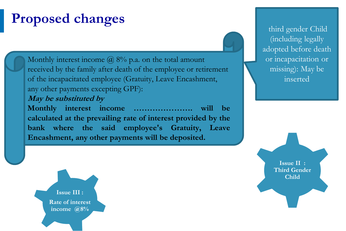## **Proposed changes**

Monthly interest income  $\omega$  8% p.a. on the total amount received by the family after death of the employee or retirement of the incapacitated employee (Gratuity, Leave Encashment, any other payments excepting GPF): **May be substituted by** 

#### **Monthly interest income …………………. will be calculated at the prevailing rate of interest provided by the bank where the said employee's Gratuity, Leave Encashment, any other payments will be deposited.**

third gender Child (including legally adopted before death or incapacitation or missing): May be inserted

**Issue III : Rate of interest income @8%**

© 2015-2016, (MeitY), Government of India. All rights reserved

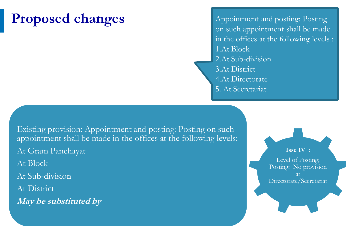## **Proposed changes**

© 2015-2016, (MeitY), Government of India. All rights reserved

Appointment and posting: Posting on such appointment shall be made in the offices at the following levels : 1.At Block 2.At Sub-division 3.At District 4.At Directorate 5. At Secretariat

Existing provision: Appointment and posting: Posting on such appointment shall be made in the offices at the following levels: At Gram Panchayat At Block At Sub-division At District **May be substituted by** 

**Isse IV :** Level of Posting; Posting: No provision Directorate/Secretariat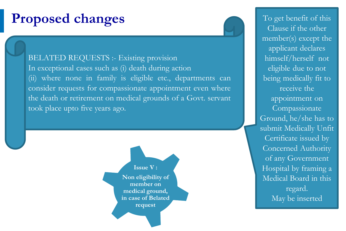#### **Proposed changes** To get benefit of this

BELATED REQUESTS :- Existing provision In exceptional cases such as (i) death during action (ii) where none in family is eligible etc., departments can consider requests for compassionate appointment even where the death or retirement on medical grounds of a Govt. servant took place upto five years ago.

> **Issue V : Non eligibility of member on medical ground, in case of Belated request**

> > Slide 59

Clause if the other member(s) except the applicant declares himself/herself not eligible due to not being medically fit to receive the appointment on **Compassionate** Ground, he/she has to submit Medically Unfit Certificate issued by Concerned Authority of any Government Hospital by framing a Medical Board in this regard. May be inserted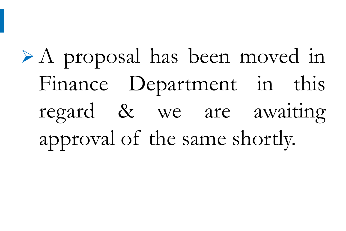# ➢ A proposal has been moved in Finance Department in this regard & we are awaiting approval of the same shortly.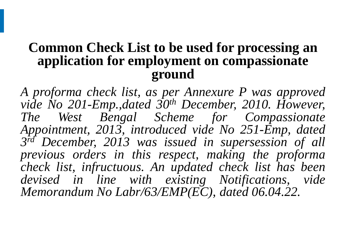#### **Common Check List to be used for processing an application for employment on compassionate ground**

*A proforma check list, as per Annexure P was approved vide No 201-Emp.,dated 30th December, 2010. However, The West Bengal Scheme for Compassionate Appointment, 2013, introduced vide No 251-Emp, dated 3 rd December, 2013 was issued in supersession of all previous orders in this respect, making the proforma check list, infructuous. An updated check list has been devised in line with existing Notifications, vide Memorandum No Labr/63/EMP(EC), dated 06.04.22.*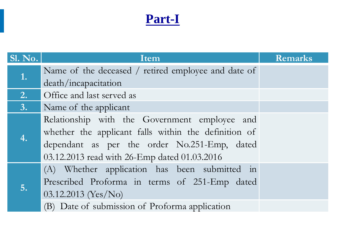### **Part-I**

| <b>Sl. No.</b>   | Item                                                 | <b>Remarks</b> |
|------------------|------------------------------------------------------|----------------|
| 1.               | Name of the deceased / retired employee and date of  |                |
|                  | death/incapacitation                                 |                |
| $\overline{2}$ . | Office and last served as                            |                |
| <b>B.</b>        | Name of the applicant                                |                |
|                  | Relationship with the Government employee and        |                |
|                  | whether the applicant falls within the definition of |                |
|                  | dependant as per the order No.251-Emp, dated         |                |
|                  | 03.12.2013 read with 26-Emp dated 01.03.2016         |                |
|                  | (A) Whether application has been submitted in        |                |
|                  | Prescribed Proforma in terms of 251-Emp dated        |                |
| 5.               | 03.12.2013 (Yes/No)                                  |                |
|                  | (B) Date of submission of Proforma application       |                |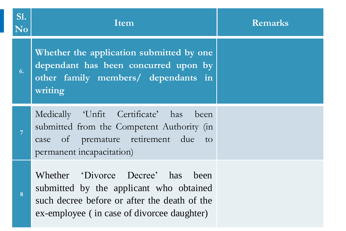| <b>S1.</b><br>N <sub>0</sub> | Item                                                                                                                                                                       | <b>Remarks</b> |
|------------------------------|----------------------------------------------------------------------------------------------------------------------------------------------------------------------------|----------------|
| 6.                           | Whether the application submitted by one<br>dependant has been concurred upon by<br>other family members/ dependants in<br>writing                                         |                |
| 7                            | Medically 'Unfit Certificate' has been<br>submitted from the Competent Authority (in<br>case of premature retirement due to<br>permanent incapacitation)                   |                |
| 8                            | Whether 'Divorce Decree' has been<br>submitted by the applicant who obtained<br>such decree before or after the death of the<br>ex-employee (in case of divorcee daughter) |                |

© 2015-2016, (MeitY), Government of India. All rights reserved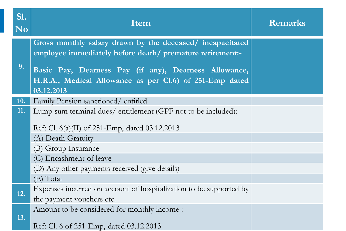| SI.<br><b>No</b> | Item                                                                                                                  | <b>Remarks</b> |
|------------------|-----------------------------------------------------------------------------------------------------------------------|----------------|
|                  | Gross monthly salary drawn by the deceased/incapacitated<br>employee immediately before death/ premature retirement:- |                |
| 9.               | Basic Pay, Dearness Pay (if any), Dearness Allowance,                                                                 |                |
|                  | H.R.A., Medical Allowance as per Cl.6) of 251-Emp dated<br>03.12.2013                                                 |                |
| 10.              | Family Pension sanctioned/entitled                                                                                    |                |
| 11.              | Lump sum terminal dues/entitlement (GPF not to be included):                                                          |                |
|                  | Ref: Cl. $6(a)(II)$ of 251-Emp, dated 03.12.2013                                                                      |                |
|                  | (A) Death Gratuity                                                                                                    |                |
|                  | (B) Group Insurance                                                                                                   |                |
|                  | (C) Encashment of leave                                                                                               |                |
|                  | (D) Any other payments received (give details)                                                                        |                |
|                  | (E) Total                                                                                                             |                |
| 12.              | Expenses incurred on account of hospitalization to be supported by                                                    |                |
|                  | the payment vouchers etc.                                                                                             |                |
| 13.              | Amount to be considered for monthly income :                                                                          |                |
|                  | Ref: Cl. 6 of 251-Emp, dated 03.12.2013                                                                               |                |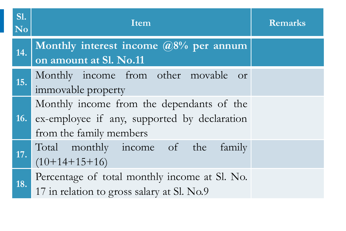| <b>S1.</b><br>N <sub>0</sub> | Item                                                                                                                 | <b>Remarks</b> |
|------------------------------|----------------------------------------------------------------------------------------------------------------------|----------------|
| 14.                          | Monthly interest income $@8\%$ per annum<br>on amount at Sl. No.11                                                   |                |
| 15.                          | Monthly income from other movable or<br>immovable property                                                           |                |
| 16.                          | Monthly income from the dependants of the<br>ex-employee if any, supported by declaration<br>from the family members |                |
| 17.                          | Total monthly income of the<br>family<br>$(10+14+15+16)$                                                             |                |
| 18.                          | Percentage of total monthly income at Sl. No.<br>17 in relation to gross salary at Sl. No.9                          |                |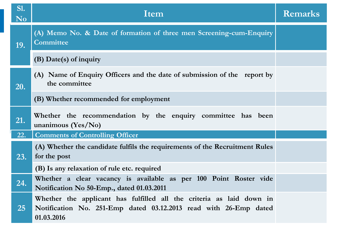| SI.<br>N <sub>0</sub> | Item                                                                                                                                                   | <b>Remarks</b> |
|-----------------------|--------------------------------------------------------------------------------------------------------------------------------------------------------|----------------|
| 19.                   | (A) Memo No. & Date of formation of three men Screening-cum-Enquiry<br>Committee                                                                       |                |
|                       | $(B)$ Date(s) of inquiry                                                                                                                               |                |
| 20.                   | (A) Name of Enquiry Officers and the date of submission of the report by<br>the committee                                                              |                |
|                       | (B) Whether recommended for employment                                                                                                                 |                |
| 21.                   | Whether the recommendation by the enquiry committee has been<br>unanimous $(Yes/No)$                                                                   |                |
| 22.                   | <b>Comments of Controlling Officer</b>                                                                                                                 |                |
| 23.                   | (A) Whether the candidate fulfils the requirements of the Recruitment Rules<br>for the post                                                            |                |
|                       | (B) Is any relaxation of rule etc. required                                                                                                            |                |
| 24.                   | Whether a clear vacancy is available as per 100 Point Roster vide<br>Notification No 50-Emp., dated 01.03.2011                                         |                |
| 25                    | Whether the applicant has fulfilled all the criteria as laid down in<br>Notification No. 251-Emp dated 03.12.2013 read with 26-Emp dated<br>01.03.2016 |                |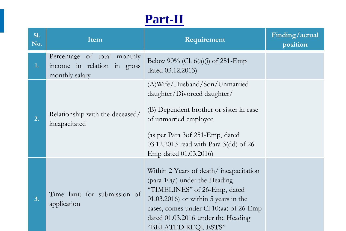### **Part-II**

| S1.<br>No. |    | Item                                                                         | Requirement                                                                                                                                                                                                                            | Finding/actual<br>position |
|------------|----|------------------------------------------------------------------------------|----------------------------------------------------------------------------------------------------------------------------------------------------------------------------------------------------------------------------------------|----------------------------|
|            | 1. | Percentage of total monthly<br>income in relation in gross<br>monthly salary | Below 90% (Cl. $6(a)(i)$ of 251-Emp<br>dated 03.12.2013)                                                                                                                                                                               |                            |
|            | 2. | Relationship with the deceased/<br>incapacitated                             | (A)Wife/Husband/Son/Unmarried<br>daughter/Divorced daughter/<br>(B) Dependent brother or sister in case<br>of unmarried employee<br>(as per Para 3of 251-Emp, dated<br>03.12.2013 read with Para 3(dd) of 26-<br>Emp dated 01.03.2016) |                            |
|            | 3. | Time limit for submission of<br>application                                  | Within 2 Years of death/incapacitation<br>"TIMELINES" of 26-Emp, dated<br>$(01.03.2016)$ or within 5 years in the<br>cases, comes under Cl 10(aa) of 26-Emp<br>dated 01.03.2016 under the Heading<br>"BELATED REQUESTS"                |                            |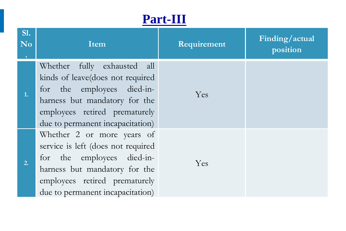#### **Part-III**

| <b>S1.</b><br>N <sub>0</sub> | Item                                                                                                                                                                                                 | Requirement | Finding/actual<br>position |
|------------------------------|------------------------------------------------------------------------------------------------------------------------------------------------------------------------------------------------------|-------------|----------------------------|
| $\mathbf{1}$ .               | Whether fully exhausted all<br>kinds of leave(does not required<br>for the employees died-in-<br>harness but mandatory for the<br>employees retired prematurely<br>due to permanent incapacitation)  | Yes         |                            |
| 2.                           | Whether 2 or more years of<br>service is left (does not required<br>for the employees died-in-<br>harness but mandatory for the<br>employees retired prematurely<br>due to permanent incapacitation) | Yes         |                            |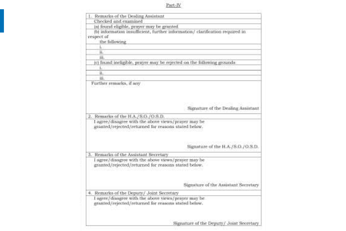#### Part-IV

| 1. Remarks of the Dealing Assistant                 |                                                                              |
|-----------------------------------------------------|------------------------------------------------------------------------------|
| Checked and examined                                |                                                                              |
| ia) found eligible, prayer may be granted           |                                                                              |
|                                                     | (b) information insufficient, further information/ clarification required in |
| respect of                                          |                                                                              |
| the following                                       |                                                                              |
| u                                                   |                                                                              |
| H.                                                  |                                                                              |
| 111.                                                |                                                                              |
|                                                     | (c) found ineligible, prayer may be rejected on the following grounds        |
| Ŀ                                                   |                                                                              |
| н.                                                  |                                                                              |
| iii.                                                |                                                                              |
| Further remarks, if any                             |                                                                              |
|                                                     |                                                                              |
|                                                     |                                                                              |
|                                                     |                                                                              |
|                                                     |                                                                              |
|                                                     | Signature of the Dealing Assistant                                           |
| 2. Remarks of the H.A./S.O./O.S.D.                  |                                                                              |
| I agree/disagree with the above views/prayer may be |                                                                              |
| granted/rejected/returned for reasons stated below. |                                                                              |
|                                                     |                                                                              |
|                                                     |                                                                              |
|                                                     |                                                                              |
|                                                     | Signature of the H.A./S.O./O.S.D.                                            |
| 3. Remarks of the Assistant Secretary               |                                                                              |
| I agree/disagree with the above views/prayer may be |                                                                              |
| granted/rejected/returned for reasons stated below. |                                                                              |
|                                                     |                                                                              |
|                                                     |                                                                              |
|                                                     |                                                                              |
|                                                     | Signature of the Assistant Secretary                                         |
|                                                     |                                                                              |
| 4. Remarks of the Deputy/ Joint Secretary           |                                                                              |
| I agree/diaagree with the above views/prayer may be |                                                                              |
| granted/rejected/returned for reasons stated below. |                                                                              |
|                                                     |                                                                              |
|                                                     |                                                                              |
|                                                     |                                                                              |
|                                                     | Signature of the Deputy / Joint Secretary                                    |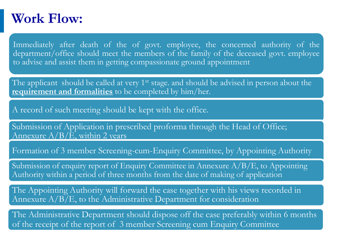#### **Work Flow:**

Immediately after death of the of govt. employee, the concerned authority of the department/office should meet the members of the family of the deceased govt. employee to advise and assist them in getting compassionate ground appointment

The applicant should be called at very 1<sup>st</sup> stage. and should be advised in person about the **requirement and formalities** to be completed by him/her.

A record of such meeting should be kept with the office.

Submission of Application in prescribed proforma through the Head of Office; Annexure  $A/B/\tilde{E}$ , within 2 years

Formation of 3 member Screening-cum-Enquiry Committee, by Appointing Authority

Submission of enquiry report of Enquiry Committee in Annexure A/B/E, to Appointing Authority within a period of three months from the date of making of application

The Appointing Authority will forward the case together with his views recorded in Annexure A/B/E, to the Administrative Department for consideration

of the receipt of the report of 3 member Screening cum Enquiry Committee The Administrative Department should dispose off the case preferably within 6 months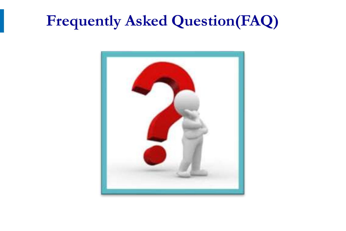# **Frequently Asked Question(FAQ)**

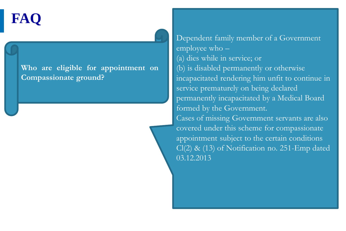**FAQ**

**Who are eligible for appointment on Compassionate ground?**

Dependent family member of a Government employee who – (a) dies while in service; or (b) is disabled permanently or otherwise incapacitated rendering him unfit to continue in service prematurely on being declared permanently incapacitated by a Medical Board formed by the Government. Cases of missing Government servants are also covered under this scheme for compassionate appointment subject to the certain conditions Cl(2) & (13) of Notification no. 251-Emp dated 03.12.2013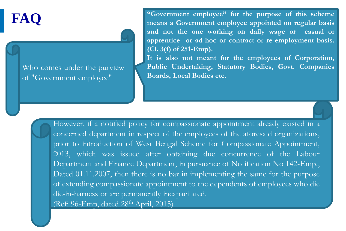Who comes under the purview of "Government employee"

© 2015-2016, (MeitY), Government of India. All rights reserved

**FAQ** "Government employee" for the purpose of this scheme<br>means a Government employee appointed on regular basis **and not the one working on daily wage or casual or apprentice or ad-hoc or contract or re-employment basis. (Cl. 3(f) of 251-Emp).**

> **It is also not meant for the employees of Corporation, Public Undertaking, Statutory Bodies, Govt. Companies Boards, Local Bodies etc.**

However, if a notified policy for compassionate appointment already existed in a concerned department in respect of the employees of the aforesaid organizations, prior to introduction of West Bengal Scheme for Compassionate Appointment, 2013, which was issued after obtaining due concurrence of the Labour Department and Finance Department, in pursuance of Notification No 142-Emp., Dated 01.11.2007, then there is no bar in implementing the same for the purpose of extending compassionate appointment to the dependents of employees who die die-in-harness or are permanently incapacitated. (Ref: 96-Emp, dated 28<sup>th</sup> April, 2015)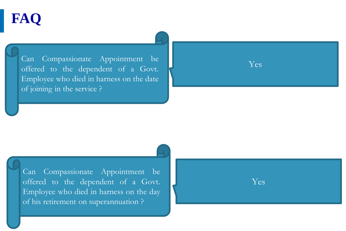Can Compassionate Appointment be Ves offered to the dependent of a Govt. Employee who died in harness on the date of joining in the service ?



Yes

Can Compassionate Appointment be offered to the dependent of a Govt. Employee who died in harness on the day of his retirement on superannuation ?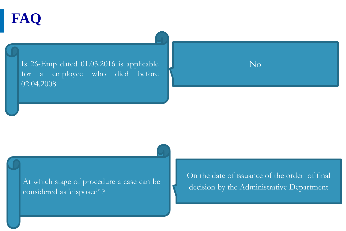Is 26-Emp dated  $\overline{01.03.2016}$  is applicable for a employee who died before 02.04.2008



At which stage of procedure a case can be considered as 'disposed' ?

On the date of issuance of the order of final decision by the Administrative Department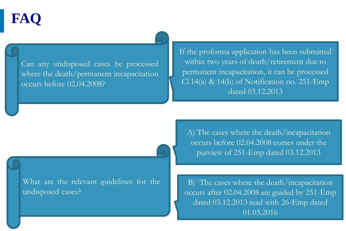Can any undisposed cases be processed where the death/permanent incapacitation occurs before 02.04.2008?

If the proforma application has been submitted within two years of death/retirement due to permanent incapacitation, it can be processed Cl.14(a) & 14(b) of Notification no. 251-Emp dated 03.12.2013

What are the relevant guidelines for the undisposed cases?

A) The cases where the death/incapacitation occurs before 02.04.2008 comes under the purview of 251-Emp dated 03.12.2013

B) The cases where the death/incapacitation occurs after 02.04.2008 are guided by 251-Emp dated 03.12.2013 read with 26-Emp dated 01.03.2016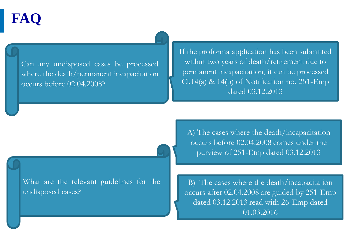Can any undisposed cases be processed where the death/permanent incapacitation occurs before 02.04.2008?

If the proforma application has been submitted within two years of death/retirement due to permanent incapacitation, it can be processed Cl.14(a) & 14(b) of Notification no. 251-Emp dated 03.12.2013

What are the relevant guidelines for the undisposed cases?

A) The cases where the death/incapacitation occurs before 02.04.2008 comes under the purview of 251-Emp dated 03.12.2013

B) The cases where the death/incapacitation occurs after 02.04.2008 are guided by 251-Emp dated 03.12.2013 read with 26-Emp dated 01.03.2016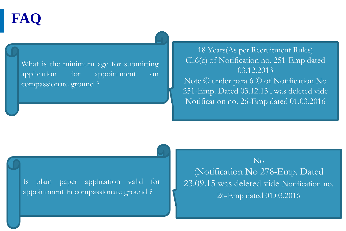What is the minimum age for submitting application for appointment on compassionate ground ?

18 Years(As per Recruitment Rules) Cl.6(c) of Notification no. 251-Emp dated 03.12.2013 Note © under para 6 © of Notification No 251-Emp. Dated 03.12.13 , was deleted vide Notification no. 26-Emp dated 01.03.2016

Is plain paper application valid for appointment in compassionate ground ?

Slide 78

No (Notification No 278-Emp. Dated 23.09.15 was deleted vide Notification no. 26-Emp dated 01.03.2016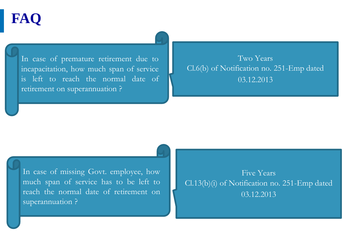In case of premature retirement due to incapacitation, how much span of service is left to reach the normal date of retirement on superannuation ?

Two Years Cl.6(b) of Notification no. 251-Emp dated 03.12.2013

In case of missing Govt. employee, how much span of service has to be left to reach the normal date of retirement on superannuation ?

Slide 79

Five Years Cl.13(b)(i) of Notification no. 251-Emp dated 03.12.2013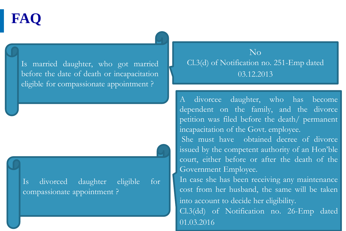Is married daughter, who got married before the date of death or incapacitation eligible for compassionate appointment ?

Is divorced daughter eligible for compassionate appointment ?

Slide 80

 $\overline{N}_{\Omega}$ Cl.3(d) of Notification no. 251-Emp dated 03.12.2013

A divorcee daughter, who has become dependent on the family, and the divorce petition was filed before the death/ permanent incapacitation of the Govt. employee.

She must have obtained decree of divorce issued by the competent authority of an Hon'ble court, either before or after the death of the Government Employee.

In case she has been receiving any maintenance cost from her husband, the same will be taken into account to decide her eligibility.

Cl.3(dd) of Notification no. 26-Emp dated 01.03.2016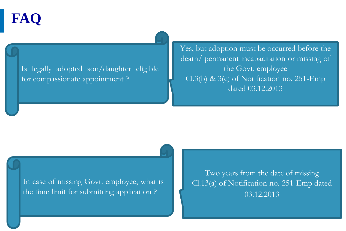Is legally adopted son/daughter eligible for compassionate appointment ?

Yes, but adoption must be occurred before the death/ permanent incapacitation or missing of the Govt. employee Cl.3(b) & 3(c) of Notification no. 251-Emp dated 03.12.2013

In case of missing Govt. employee, what is the time limit for submitting application ?

Two years from the date of missing Cl.13(a) of Notification no. 251-Emp dated 03.12.2013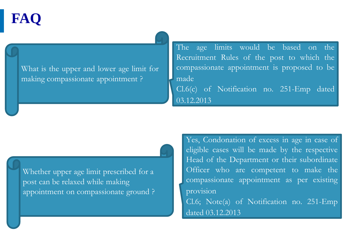What is the upper and lower age limit for making compassionate appointment ?

The age limits would be based on the Recruitment Rules of the post to which the compassionate appointment is proposed to be made Cl.6(c) of Notification no. 251-Emp dated 03.12.2013

Whether upper age limit prescribed for a post can be relaxed while making appointment on compassionate ground ? Yes, Condonation of excess in age in case of eligible cases will be made by the respective Head of the Department or their subordinate Officer who are competent to make the compassionate appointment as per existing provision Cl.6; Note(a) of Notification no. 251-Emp dated 03.12.2013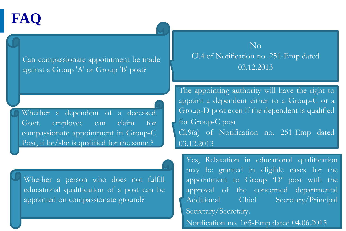Can compassionate appointment be made against a Group 'A' or Group 'B' post?

Whether a dependent of a deceased Govt. employee can claim for compassionate appointment in Group-C Post, if he/she is qualified for the same ?

Whether a person who does not fulfill educational qualification of a post can be appointed on compassionate ground?

Slide 83

© 2015-2016, (MeitY), Government of India. All rights reserved

No Cl.4 of Notification no. 251-Emp dated 03.12.2013

The appointing authority will have the right to appoint a dependent either to a Group-C or a Group-D post even if the dependent is qualified for Group-C post Cl.9(a) of Notification no. 251-Emp dated 03.12.2013

Yes, Relaxation in educational qualification may be granted in eligible cases for the appointment to Group 'D' post with the approval of the concerned departmental Additional Chief Secretary/Principal Secretary/Secretary. Notification no. 165-Emp dated 04.06.2015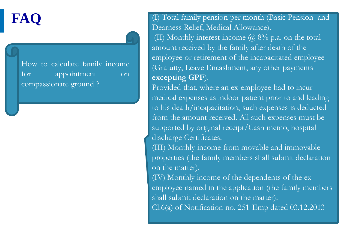How to calculate family income for appointment on compassionate ground ?

**FAQ** (I) Total family pension per month (Basic Pension and Dearness Relief, Medical Allowance). (II) Monthly interest income  $\omega$  8% p.a. on the total amount received by the family after death of the employee or retirement of the incapacitated employee (Gratuity, Leave Encashment, any other payments **excepting GPF**).

> Provided that, where an ex-employee had to incur medical expenses as indoor patient prior to and leading to his death/incapacitation, such expenses is deducted from the amount received. All such expenses must be supported by original receipt/Cash memo, hospital discharge Certificates.

> (III) Monthly income from movable and immovable properties (the family members shall submit declaration on the matter).

> (IV) Monthly income of the dependents of the exemployee named in the application (the family members shall submit declaration on the matter).

Cl.6(a) of Notification no. 251-Emp dated 03.12.2013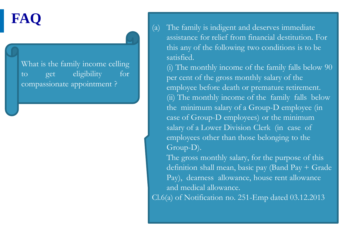What is the family income celling to get eligibility for compassionate appointment ?

**FAQ** (a) The family is indigent and deserves immediate assistance for relief from financial destitution. For this any of the following two conditions is to be satisfied.

> (i) The monthly income of the family falls below 90 per cent of the gross monthly salary of the employee before death or premature retirement. (ii) The monthly income of the family falls below the minimum salary of a Group-D employee (in case of Group-D employees) or the minimum salary of a Lower Division Clerk (in case of employees other than those belonging to the Group-D).

> The gross monthly salary, for the purpose of this definition shall mean, basic pay (Band Pay + Grade Pay), dearness allowance, house rent allowance and medical allowance.

Cl.6(a) of Notification no. 251-Emp dated 03.12.2013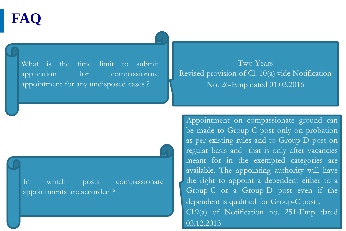What is the time limit to submit application for compassionate appointment for any undisposed cases ?

Two Years Revised provision of Cl. 10(a) vide Notification No. 26-Emp dated 01.03.2016

In which posts compassionate appointments are accorded ?

Appointment on compassionate ground can be made to Group-C post only on probation as per existing rules and to Group-D post on regular basis and that is only after vacancies meant for in the exempted categories are available. The appointing authority will have the right to appoint a dependent either to a Group-C or a Group-D post even if the dependent is qualified for Group-C post . Cl.9(a) of Notification no. 251-Emp dated 03.12.2013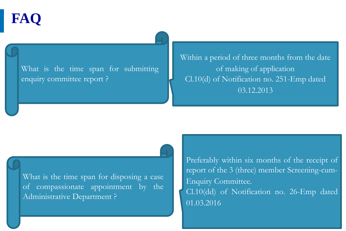What is the time span for submitting enquiry committee report ?

Within a period of three months from the date of making of application Cl.10(d) of Notification no. 251-Emp dated 03.12.2013

What is the time span for disposing a case of compassionate appointment by the Administrative Department ?

Preferably within six months of the receipt of report of the 3 (three) member Screening-cum-Enquiry Committee. Cl.10(dd) of Notification no. 26-Emp dated 01.03.2016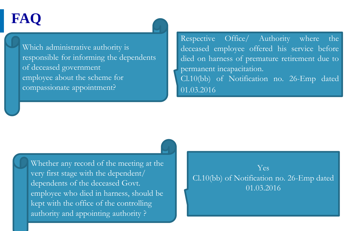Which administrative authority is responsible for informing the dependents of deceased government employee about the scheme for compassionate appointment?

Respective Office/ Authority where the deceased employee offered his service before died on harness of premature retirement due to permanent incapacitation. Cl.10(bb) of Notification no. 26-Emp dated 01.03.2016

Slide 88 Whether any record of the meeting at the very first stage with the dependent/ dependents of the deceased Govt. employee who died in harness, should be kept with the office of the controlling authority and appointing authority ?

© 2015-2016, (MeitY), Government of India. All rights reserved

### Yes Cl.10(bb) of Notification no. 26-Emp dated 01.03.2016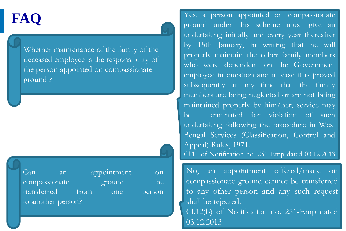Whether maintenance of the family of the deceased employee is the responsibility of the person appointed on compassionate ground ?

Can an appointment on compassionate ground be transferred from one person to another person?

Yes, a person appointed on compassionate ground under this scheme must give an undertaking initially and every year thereafter by 15th January, in writing that he will properly maintain the other family members who were dependent on the Government employee in question and in case it is proved subsequently at any time that the family members are being neglected or are not being maintained properly by him/her, service may be terminated for violation of such undertaking following the procedure in West Bengal Services (Classification, Control and Appeal) Rules, 1971. Cl.11 of Notification no. 251-Emp dated 03.12.2013

No, an appointment offered/made on compassionate ground cannot be transferred to any other person and any such request shall be rejected. Cl.12(b) of Notification no. 251-Emp dated 03.12.2013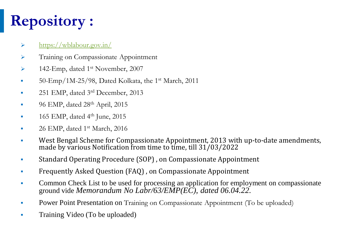# **Repository :**

### ➢ <https://wblabour.gov.in/>

- ➢ Training on Compassionate Appointment
- ➢ 142-Emp, dated 1st November, 2007
- $\bullet$  50-Emp/1M-25/98, Dated Kolkata, the 1<sup>st</sup> March, 2011
- 251 EMP, dated 3rd December, 2013
- 96 EMP, dated 28<sup>th</sup> April, 2015
- $\blacksquare$  165 EMP, dated 4<sup>th</sup> June, 2015
- 26 EMP, dated 1<sup>st</sup> March, 2016
- West Bengal Scheme for Compassionate Appointment, 2013 with up-to-date amendments, made by various Notification from time to time, till 31/03/2022
- Standard Operating Procedure (SOP) , on Compassionate Appointment
- **Frequently Asked Question (FAQ), on Compassionate Appointment**
- Common Check List to be used for processing an application for employment on compassionate ground vide *Memorandum No Labr/63/EMP(EC), dated 06.04.22.*
- **Power Point Presentation on** Training on Compassionate Appointment (To be uploaded)
- **•** Training Video (To be uploaded)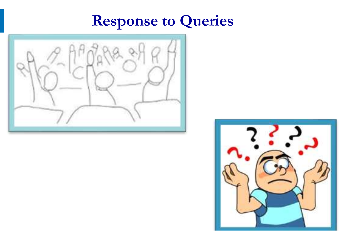### **Response to Queries**



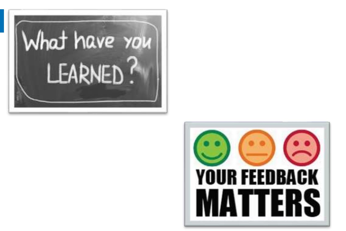